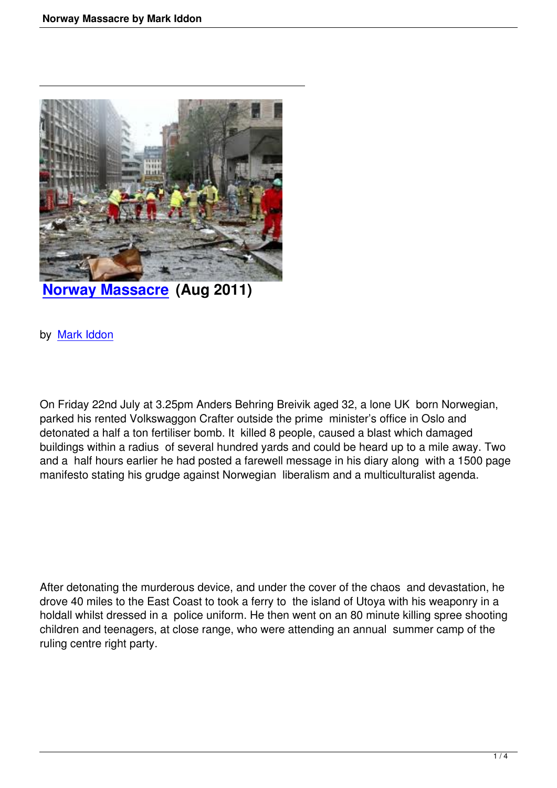

**Norway Massacre (Aug 2011)** 

## [by Mark Iddon](norway-massacre-by-mark-iddon.html)

On Friday 22nd July at 3.25pm Anders Behring Breivik aged 32, a lone UK born Norwegian, parked his rented Volkswaggon Crafter outside the prime minister's office in Oslo and detonated a half a ton fertiliser bomb. It killed 8 people, caused a blast which damaged buildings within a radius of several hundred yards and could be heard up to a mile away. Two and a half hours earlier he had posted a farewell message in his diary along with a 1500 page manifesto stating his grudge against Norwegian liberalism and a multiculturalist agenda.

After detonating the murderous device, and under the cover of the chaos and devastation, he drove 40 miles to the East Coast to took a ferry to the island of Utoya with his weaponry in a holdall whilst dressed in a police uniform. He then went on an 80 minute killing spree shooting children and teenagers, at close range, who were attending an annual summer camp of the ruling centre right party.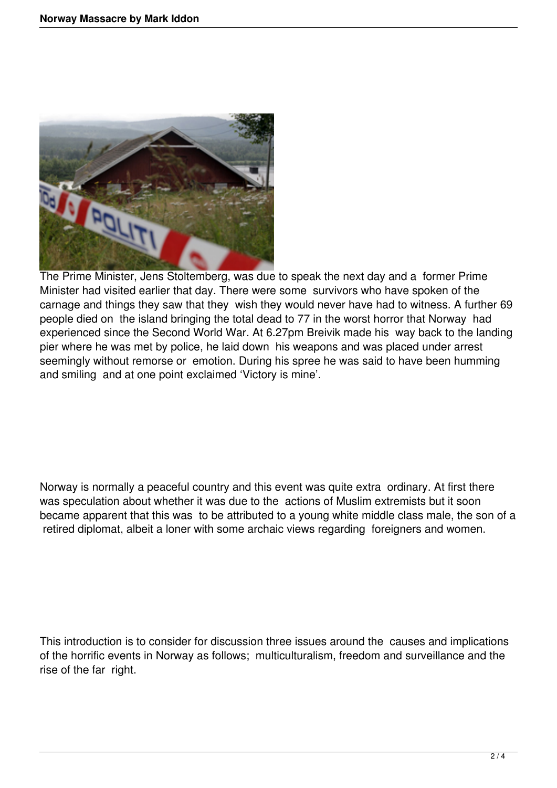

The Prime Minister, Jens Stoltemberg, was due to speak the next day and a former Prime Minister had visited earlier that day. There were some survivors who have spoken of the carnage and things they saw that they wish they would never have had to witness. A further 69 people died on the island bringing the total dead to 77 in the worst horror that Norway had experienced since the Second World War. At 6.27pm Breivik made his way back to the landing pier where he was met by police, he laid down his weapons and was placed under arrest seemingly without remorse or emotion. During his spree he was said to have been humming and smiling and at one point exclaimed 'Victory is mine'.

Norway is normally a peaceful country and this event was quite extra ordinary. At first there was speculation about whether it was due to the actions of Muslim extremists but it soon became apparent that this was to be attributed to a young white middle class male, the son of a retired diplomat, albeit a loner with some archaic views regarding foreigners and women.

This introduction is to consider for discussion three issues around the causes and implications of the horrific events in Norway as follows; multiculturalism, freedom and surveillance and the rise of the far right.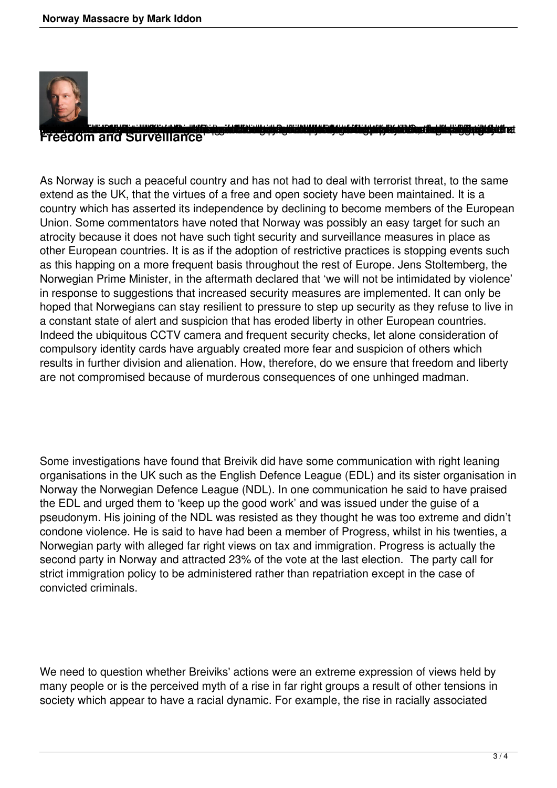

## Freedom and Surveillance

As Norway is such a peaceful country and has not had to deal with terrorist threat, to the same extend as the UK, that the virtues of a free and open society have been maintained. It is a country which has asserted its independence by declining to become members of the European Union. Some commentators have noted that Norway was possibly an easy target for such an atrocity because it does not have such tight security and surveillance measures in place as other European countries. It is as if the adoption of restrictive practices is stopping events such as this happing on a more frequent basis throughout the rest of Europe. Jens Stoltemberg, the Norwegian Prime Minister, in the aftermath declared that 'we will not be intimidated by violence' in response to suggestions that increased security measures are implemented. It can only be hoped that Norwegians can stay resilient to pressure to step up security as they refuse to live in a constant state of alert and suspicion that has eroded liberty in other European countries. Indeed the ubiquitous CCTV camera and frequent security checks, let alone consideration of compulsory identity cards have arguably created more fear and suspicion of others which results in further division and alienation. How, therefore, do we ensure that freedom and liberty are not compromised because of murderous consequences of one unhinged madman.

Some investigations have found that Breivik did have some communication with right leaning organisations in the UK such as the English Defence League (EDL) and its sister organisation in Norway the Norwegian Defence League (NDL). In one communication he said to have praised the EDL and urged them to 'keep up the good work' and was issued under the guise of a pseudonym. His joining of the NDL was resisted as they thought he was too extreme and didn't condone violence. He is said to have had been a member of Progress, whilst in his twenties, a Norwegian party with alleged far right views on tax and immigration. Progress is actually the second party in Norway and attracted 23% of the vote at the last election. The party call for strict immigration policy to be administered rather than repatriation except in the case of convicted criminals.

We need to question whether Breiviks' actions were an extreme expression of views held by many people or is the perceived myth of a rise in far right groups a result of other tensions in society which appear to have a racial dynamic. For example, the rise in racially associated